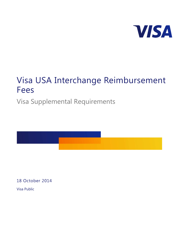

# Visa USA Interchange Reimbursement Fees

Visa Supplemental Requirements

18 October 2014

Visa Public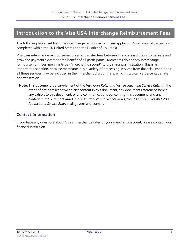#### Introduction to the Visa USA Interchange Reimbursement Fees

The following tables set forth the interchange reimbursement fees applied on Visa financial transactions completed within the 50 United States and the District of Columbia.

Visa uses interchange reimbursement fees as transfer fees between financial institutions to balance and grow the payment system for the benefit of all participants. Merchants do not pay interchange reimbursement fees; merchants pay "merchant discount" to their financial institution. This is an important distinction, because merchants buy a variety of processing services from financial institutions; all these services may be included in their merchant discount rate, which is typically a percentage rate per transaction.

Note: This document is a supplement of the Visa Core Rules and Visa Product and Service Rules. In the event of any conflict between any content in this document, any document referenced herein, any exhibit to this document, or any communications concerning this document, and any content in the Visa Core Rules and Visa Product and Service Rules, the Visa Core Rules and Visa Product and Service Rules shall govern and control.

#### Contact Information

If you have any questions about Visa's interchange rates or your merchant discount, please contact your financial institution.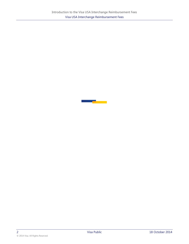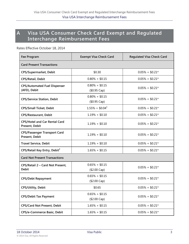#### A Visa USA Consumer Check Card Exempt and Regulated Interchange Reimbursement Fees

| Fee Program                                            | <b>Exempt Visa Check Card</b>    | <b>Regulated Visa Check Card</b> |  |  |
|--------------------------------------------------------|----------------------------------|----------------------------------|--|--|
| <b>Card Present Transactions</b>                       |                                  |                                  |  |  |
| CPS/Supermarket, Debit                                 | \$0.30                           | $0.05\% + $0.21*$                |  |  |
| CPS/Retail, Debit                                      | $0.80\% + $0.15$                 | $0.05\% + $0.21*$                |  |  |
| <b>CPS/Automated Fuel Dispenser</b><br>(AFD), Debit    | $0.80\% + $0.15$<br>(\$0.95 Cap) | $0.05\% + $0.21*$                |  |  |
| <b>CPS/Service Station, Debit</b>                      | $0.80\% + $0.15$<br>(\$0.95 Cap) | $0.05\% + $0.21*$                |  |  |
| CPS/Small Ticket, Debit                                | $1.55\% + $0.04^1$               | $0.05\% + $0.21*$                |  |  |
| <b>CPS/Restaurant, Debit</b>                           | $1.19\% + $0.10$                 | $0.05\% + $0.21*$                |  |  |
| <b>CPS/Hotel and Car Rental Card</b><br>Present, Debit | $1.19% + $0.10$                  | $0.05\% + $0.21*$                |  |  |
| <b>CPS/Passenger Transport Card</b><br>Present, Debit  | $1.19\% + $0.10$                 | $0.05\% + $0.21*$                |  |  |
| <b>Travel Service, Debit</b>                           | $1.19\% + $0.10$                 | $0.05\% + $0.21*$                |  |  |
| CPS/Retail Key Entry, Debit <sup>2</sup>               | $1.65\% + $0.15$                 | $0.05\% + $0.21*$                |  |  |
| <b>Card Not Present Transactions</b>                   |                                  |                                  |  |  |
| CPS/Retail 2 - Card Not Present,<br><b>Debit</b>       | $0.65\% + $0.15$<br>(\$2.00 Cap) | $0.05\% + $0.21*$                |  |  |
| <b>CPS/Debt Repayment</b>                              | $0.65\% + $0.15$<br>(\$2.00 Cap) | $0.05\% + $0.21*$                |  |  |
| CPS/Utility, Debit                                     | \$0.65                           | $0.05\% + $0.21*$                |  |  |
| <b>CPS/Debit Tax Payment</b>                           | $0.65\% + $0.15$<br>(\$2.00 Cap) | $0.05\% + $0.21*$                |  |  |
| <b>CPS/Card Not Present, Debit</b>                     | $1.65\% + $0.15$                 | $0.05\% + $0.21*$                |  |  |
| CPS/e-Commerce Basic, Debit                            | $1.65\% + $0.15$                 | $0.05\% + $0.21*$                |  |  |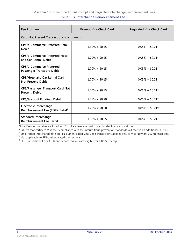| Fee Program                                                                   | <b>Exempt Visa Check Card</b> | <b>Regulated Visa Check Card</b> |  |  |
|-------------------------------------------------------------------------------|-------------------------------|----------------------------------|--|--|
| <b>Card Not Present Transactions (continued)</b>                              |                               |                                  |  |  |
| CPS/e-Commerce Preferred Retail,<br><b>Debit</b>                              | $1.60\% + $0.15$              | $0.05\% + \$0.21*$               |  |  |
| <b>CPS/e-Commerce Preferred Hotel</b><br>and Car Rental, Debit                | $1.70\% + $0.15$              | $0.05\% + $0.21*$                |  |  |
| <b>CPS/e-Commerce Preferred</b><br>Passenger Transport, Debit                 | $1.70\% + $0.15$              | $0.05\% + $0.21*$                |  |  |
| <b>CPS/Hotel and Car Rental Card</b><br>Not Present, Debit                    | $1.70\% + $0.15$              | $0.05\% + $0.21*$                |  |  |
| <b>CPS/Passenger Transport Card Not</b><br>Present, Debit                     | $1.70\% + $0.15$              | $0.05\% + $0.21*$                |  |  |
| <b>CPS/Account Funding, Debit</b>                                             | $1.75\% + $0.20$              | $0.05\% + $0.21*$                |  |  |
| <b>Electronic Interchange</b><br>Reimbursement Fee (EIRF), Debit <sup>3</sup> | $1.75\% + $0.20$              | $0.05\% + $0.21*$                |  |  |
| <b>Standard Interchange</b><br>Reimbursement Fee, Debit                       | $1.90\% + $0.25$              | $0.05\% + $0.21*$                |  |  |

Note: Fees in this table are listed in U.S. dollars; fees are paid to cardholder financial institutions.

\* Issuers that certify to Visa their compliance with the interim fraud prevention standards will receive an additional US \$0.01.

 $^1$  Small-ticket interchange rate on PIN-authenticated Visa Debit transactions applies only to Visa Network 002 transactions.

 $2$  Not applicable to PIN-authenticated transactions.

 $3$  EIRF transactions from AFDs and service stations are eligible for a US \$0.95 cap.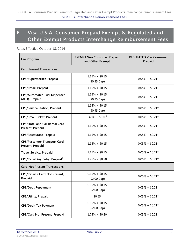#### B Visa U.S.A. Consumer Prepaid Exempt & Regulated and Other Exempt Products Interchange Reimbursement Fees

| Fee Program                                              | <b>EXEMPT Visa Consumer Prepaid</b><br>and Other Exempt | <b>REGULATED Visa Consumer</b><br>Prepaid |  |  |  |
|----------------------------------------------------------|---------------------------------------------------------|-------------------------------------------|--|--|--|
| <b>Card Present Transactions</b>                         |                                                         |                                           |  |  |  |
| CPS/Supermarket, Prepaid                                 | $1.15% + $0.15$<br>(\$0.35 Cap)                         | $0.05\% + $0.21*$                         |  |  |  |
| <b>CPS/Retail, Prepaid</b>                               | $1.15% + $0.15$                                         | $0.05\% + $0.21*$                         |  |  |  |
| <b>CPS/Automated Fuel Dispenser</b><br>(AFD), Prepaid    | $1.15% + $0.15$<br>(\$0.95 Cap)                         | $0.05\% + $0.21*$                         |  |  |  |
| <b>CPS/Service Station, Prepaid</b>                      | $1.15% + $0.15$<br>(\$0.95 Cap)                         | $0.05\% + $0.21*$                         |  |  |  |
| <b>CPS/Small Ticket, Prepaid</b>                         | $1.60\% + $0.05^1$                                      | $0.05\% + $0.21*$                         |  |  |  |
| <b>CPS/Hotel and Car Rental Card</b><br>Present, Prepaid | $1.15% + $0.15$                                         | $0.05\% + $0.21*$                         |  |  |  |
| <b>CPS/Restaurant, Prepaid</b>                           | $1.15% + $0.15$                                         | $0.05\% + $0.21*$                         |  |  |  |
| <b>CPS/Passenger Transport Card</b><br>Present, Prepaid  | $1.15% + $0.15$                                         | $0.05\% + $0.21*$                         |  |  |  |
| <b>Travel Service, Prepaid</b>                           | $1.15% + $0.15$                                         | $0.05\% + $0.21*$                         |  |  |  |
| CPS/Retail Key Entry, Prepaid <sup>2</sup>               | $1.75\% + $0.20$                                        | $0.05\% + $0.21*$                         |  |  |  |
| <b>Card Not Present Transactions</b>                     |                                                         |                                           |  |  |  |
| <b>CPS/Retail 2 Card Not Present,</b><br>Prepaid         | $0.65\% + $0.15$<br>(\$2.00 Cap)                        | $0.05\% + $0.21*$                         |  |  |  |
| <b>CPS/Debt Repayment</b>                                | $0.65\% + $0.15$<br>(\$2.00 Cap)                        | $0.05\% + $0.21*$                         |  |  |  |
| CPS/Utility, Prepaid                                     | \$0.65                                                  | $0.05\% + $0.21*$                         |  |  |  |
| <b>CPS/Debit Tax Payment</b>                             | $0.65\% + $0.15$<br>(\$2.00 Cap)                        | $0.05\% + $0.21*$                         |  |  |  |
| <b>CPS/Card Not Present, Prepaid</b>                     | $1.75\% + $0.20$                                        | $0.05\% + $0.21*$                         |  |  |  |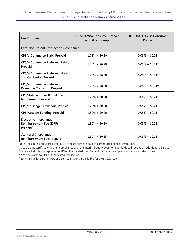| Fee Program                                                               | <b>EXEMPT Visa Consumer Prepaid</b><br>and Other Exempt | <b>REGULATED Visa Consumer</b><br>Prepaid |
|---------------------------------------------------------------------------|---------------------------------------------------------|-------------------------------------------|
| <b>Card Not Present Transactions (continued)</b>                          |                                                         |                                           |
| CPS/e-Commerce Basic, Prepaid                                             | $1.75\% + $0.20$                                        | $0.05\% + $0.21*$                         |
| CPS/e-Commerce Preferred Retail,<br>Prepaid                               | $1.75\% + $0.20$                                        | $0.05\% + $0.21*$                         |
| <b>CPS/e-Commerce Preferred Hotel</b><br>and Car Rental, Prepaid          | $1.75\% + $0.20$                                        | $0.05\% + $0.21*$                         |
| <b>CPS/e-Commerce Preferred</b><br>Passenger Transport, Prepaid           | $1.75\% + $0.20$                                        | $0.05\% + $0.21*$                         |
| CPS/Hotel and Car Rental Card<br>Not Present, Prepaid                     | $1.75\% + $0.20$                                        | $0.05\% + $0.21*$                         |
| <b>CPS/Passenger Transport, Prepaid</b>                                   | $1.75\% + $0.20$                                        | $0.05\% + $0.21*$                         |
| <b>CPS/Account Funding, Prepaid</b>                                       | $1.80\% + $0.20$                                        | $0.05\% + $0.21*$                         |
| <b>Electronic Interchange</b><br>Reimbursement Fee (EIRF),<br>Prepaid $3$ | $1.80\% + $0.20$                                        | $0.05\% + $0.21*$                         |
| <b>Standard Interchange</b><br>Reimbursement Fee, Prepaid                 | $1.90\% + $0.25$                                        | $0.05\% + $0.21*$                         |

Note: Fees in this table are listed in U.S. dollars; fees are paid to cardholder financial institutions.

\* Issuers that certify to Visa their compliance with the interim fraud prevention standards will receive an additional US \$0.01.

 $^1$  Small-ticket interchange rate on PIN-authenticated Visa Prepaid transactions applies only to Visa Network 002.

 $2$  Not applicable to PIN-authenticated transactions.

 $3$  EIRF transactions from AFDs and service stations are eligible for a US \$0.95 cap.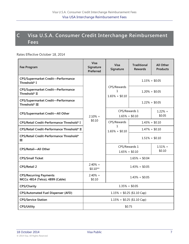### C Visa U.S.A. Consumer Credit Interchange Reimbursement Fees

| Fee Program                                                       | <b>Visa</b><br>Signature<br>Preferred | <b>Visa</b><br>Signature                       | <b>Traditional</b><br><b>Rewards</b> | All Other<br><b>Products</b> |
|-------------------------------------------------------------------|---------------------------------------|------------------------------------------------|--------------------------------------|------------------------------|
| CPS/Supermarket Credit-Performance<br>Threshold* I                |                                       |                                                |                                      | $1.15% + $0.05$              |
| CPS/Supermarket Credit-Performance<br>Threshold* II               |                                       | CPS/Rewards<br>$\mathbf 1$<br>$1.65\% + $0.10$ |                                      | $1.20\% + $0.05$             |
| CPS/Supermarket Credit-Performance<br>Threshold* III              |                                       |                                                |                                      | $1.22\% + $0.05$             |
| CPS/Supermarket Credit-All Other                                  | $2.10% +$                             | CPS/Rewards 1<br>$1.65\% + $0.10$              |                                      | $1.22% +$<br>\$0.05          |
| CPS/Retail Credit-Performance Threshold* I                        | \$0.10                                | CPS/Rewards                                    | $1.43\% + $0.10$                     |                              |
| CPS/Retail Credit-Performance Threshold* II                       |                                       | 1<br>$1.65\% + $0.10$                          | $1.47\% + $0.10$                     |                              |
| CPS/Retail Credit-Performance Threshold*<br>Ш                     |                                       |                                                | $1.51\% + $0.10$                     |                              |
| CPS/Retail-All Other                                              |                                       | CPS/Rewards 1<br>$1.65\% + $0.10$              |                                      | $1.51% +$<br>\$0.10          |
| <b>CPS/Small Ticket</b>                                           |                                       | $1.65\% + $0.04$                               |                                      |                              |
| <b>CPS/Retail 2</b>                                               | $2.40%$ +<br>$$0.10**$                | $1.43\% + $0.05$                               |                                      |                              |
| <b>CPS/Recurring Payments</b><br>MCCs: 4814 (Telco); 4899 (Cable) | $2.40%$ +<br>\$0.10                   | $1.43\% + $0.05$                               |                                      |                              |
| <b>CPS/Charity</b>                                                | $1.35\% + $0.05$                      |                                                |                                      |                              |
| <b>CPS/Automated Fuel Dispenser (AFD)</b>                         |                                       |                                                | $1.15\% + $0.25 ($1.10 Cap)$         |                              |
| <b>CPS/Service Station</b>                                        | $1.15\% + $0.25 ($1.10 Cap)$          |                                                |                                      |                              |
| <b>CPS/Utility</b>                                                | \$0.75                                |                                                |                                      |                              |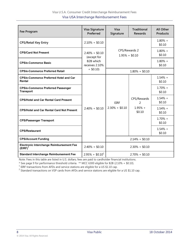| Fee Program                                                   | Visa Signature<br>Preferred                                    | <b>Visa</b><br>Signature          | <b>Traditional</b><br><b>Rewards</b> | <b>All Other</b><br><b>Products</b> |                     |
|---------------------------------------------------------------|----------------------------------------------------------------|-----------------------------------|--------------------------------------|-------------------------------------|---------------------|
| <b>CPS/Retail Key Entry</b>                                   | $2.10\% + $0.10$                                               |                                   |                                      | $1.80%$ +<br>\$0.10                 |                     |
| <b>CPS/Card Not Present</b>                                   | $2.40\% + $0.10$<br>(except for<br>B2B which<br>receives 2.10% | CPS/Rewards 2<br>$1.95\% + $0.10$ | $1.80% +$<br>\$0.10                  |                                     |                     |
| <b>CPS/e-Commerce Basic</b>                                   |                                                                |                                   |                                      | $1.80%$ +<br>\$0.10                 |                     |
| <b>CPS/e-Commerce Preferred Retail</b>                        |                                                                | $+ $0.10$                         |                                      |                                     |                     |
| <b>CPS/e-Commerce Preferred Hotel and Car</b><br>Rental       | $2.40\% + $0.10$                                               |                                   |                                      | $1.54% +$<br>\$0.10                 |                     |
| <b>CPS/e-Commerce Preferred Passenger</b><br><b>Transport</b> |                                                                |                                   |                                      | $1.70%$ +<br>\$0.10                 |                     |
| <b>CPS/Hotel and Car Rental Card Present</b>                  |                                                                |                                   | <b>EIRF</b>                          | CPS/Rewards<br>2                    | $1.54% +$<br>\$0.10 |
| <b>CPS/Hotel and Car Rental Card Not Present</b>              |                                                                |                                   |                                      | $2.30\% + $0.10$                    | $1.95% +$<br>\$0.10 |
| <b>CPS/Passenger Transport</b>                                |                                                                |                                   |                                      | $1.70%$ +<br>\$0.10                 |                     |
| <b>CPS/Restaurant</b>                                         |                                                                |                                   |                                      | $1.54% +$<br>\$0.10                 |                     |
| <b>CPS/Account Funding</b>                                    |                                                                | $2.14\% + $0.10$                  |                                      |                                     |                     |
| Electronic Interchange Reimbursement Fee<br>$(EIRF)^1$        | $2.40\% + $0.10$                                               |                                   | $2.30\% + $0.10$                     |                                     |                     |
| <b>Standard Interchange Reimbursement Fee</b>                 | $2.95\% + $0.10^2$                                             |                                   | $2.70\% + $0.10$                     |                                     |                     |

Note: Fees in this table are listed in U.S. dollars; fees are paid to cardholder financial institutions.

\* See page 9 for performance threshold criteria. \*\* MCC 6300 eligible for B2B (2.10% + \$0.10).

 $^1$  EIRF transactions from AFDs and service stations are eligible for a US \$1.10 cap.<br><sup>2</sup> Standard transactions on VSP cards from AFDs and service stations are eligible for a US \$1.10 cap.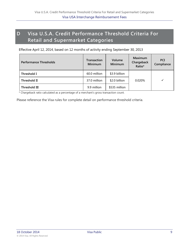### D Visa U.S.A. Credit Performance Threshold Criteria For Retail and Supermarket Categories

Effective April 12, 2014, based on 12 months of activity ending September 30, 2013

| <b>Performance Thresholds</b> | <b>Transaction</b><br>Minimum | Volume<br><b>Minimum</b> | Maximum<br>Chargeback<br>Ratio* | <b>PCI</b><br>Compliance |
|-------------------------------|-------------------------------|--------------------------|---------------------------------|--------------------------|
| Threshold I                   | 60.0 million                  | \$3.9 billion            |                                 |                          |
| Threshold II                  | 37.0 million                  | \$2.0 billion            | 0.020%                          | $\checkmark$             |
| Threshold III                 | 9.9 million                   | \$535 million            |                                 |                          |

\* Chargeback ratio calculated as a percentage of a merchant's gross transaction count.

Please reference the Visa rules for complete detail on performance threshold criteria.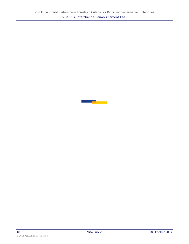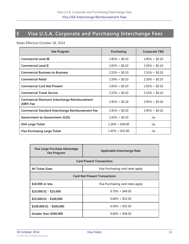## E Visa U.S.A. Corporate and Purchasing Interchange Fees

| Fee Program                                                          | Purchasing        | Corporate T&E    |
|----------------------------------------------------------------------|-------------------|------------------|
| <b>Commercial Level III</b>                                          | $1.85\% + $0.10$  | $1.85\% + $0.10$ |
| <b>Commercial Level II</b>                                           | $2.05\% + $0.10$  | $2.05\% + $0.10$ |
| <b>Commercial Business-to-Business</b>                               | $2.55\% + $0.10$  | $2.55\% + $0.10$ |
| <b>Commercial Retail</b>                                             | $2.50\% + $0.10$  | $2.50\% + $0.10$ |
| <b>Commercial Card Not Present</b>                                   | $2.65\% + $0.10$  | $2.65\% + $0.10$ |
| <b>Commercial Travel Service</b>                                     | $2.55\% + $0.10$  | $2.55\% + $0.10$ |
| <b>Commercial Electronic Interchange Reimbursement</b><br>(EIRF) Fee | $2.95\% + $0.10$  | $2.95\% + $0.10$ |
| <b>Commercial Standard Interchange Reimbursement Fee</b>             | $2.95\% + $0.10$  | $2.95\% + $0.10$ |
| Government-to-Government (G2G)                                       | $1.65\% + $0.10$  | na               |
| <b>GSA Large Ticket</b>                                              | $1.20\% + $39.00$ | na               |
| <b>Visa Purchasing Large Ticket</b>                                  | $1.45\% + $35.00$ | na               |

| Visa Large Purchase Advantage<br>Fee Program | Applicable Interchange Rate      |
|----------------------------------------------|----------------------------------|
|                                              | <b>Card Present Transactions</b> |
| <b>All Ticket Sizes</b>                      | Visa Purchasing card rates apply |
| <b>Card Not Present Transactions</b>         |                                  |
| \$10,000 or less                             | Visa Purchasing card rates apply |
| $$10,000.01 - $25,000$                       | $0.70\% + $49.50$                |
| $$25,000.01 - $100,000$                      | $0.60\% + $52.50$                |
| $$100,000.01 - $500,000$                     | $0.50\% + $55.50$                |
| Greater than \$500,000                       | $0.40\% + $58.50$                |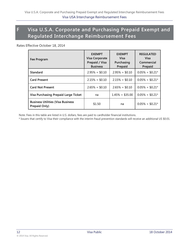### F Visa U.S.A. Corporate and Purchasing Prepaid Exempt and Regulated Interchange Reimbursement Fees

Rates Effective October 18, 2014

| Fee Program                                               | <b>EXEMPT</b><br><b>Visa Corporate</b><br>Prepaid / Visa<br><b>Business</b> | <b>EXEMPT</b><br><b>Visa</b><br>Purchasing<br>Prepaid | <b>REGULATED</b><br><b>Visa</b><br>Commercial<br>Prepaid |
|-----------------------------------------------------------|-----------------------------------------------------------------------------|-------------------------------------------------------|----------------------------------------------------------|
| <b>Standard</b>                                           | $2.95\% + $0.10$                                                            | $2.95\% + $0.10$                                      | $0.05\% + $0.21*$                                        |
| <b>Card Present</b>                                       | $2.15% + $0.10$                                                             | $2.15\% + $0.10$                                      | $0.05\% + $0.21*$                                        |
| <b>Card Not Present</b>                                   | $2.65\% + $0.10$                                                            | $2.65\% + $0.10$                                      | $0.05\% + $0.21*$                                        |
| Visa Purchasing Prepaid Large Ticket                      | na                                                                          | $1.45\% + $35.00$                                     | $0.05\% + $0.21*$                                        |
| <b>Business Utilities (Visa Business</b><br>Prepaid Only) | \$1.50                                                                      | na                                                    | $0.05\% + $0.21*$                                        |

Note: Fees in this table are listed in U.S. dollars; fees are paid to cardholder financial institutions.

\* Issuers that certify to Visa their compliance with the interim fraud prevention standards will receive an additional US \$0.01.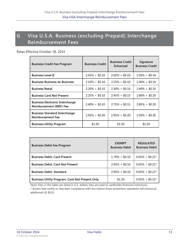### G Visa U.S.A. Business (excluding Prepaid) Interchange Reimbursement Fees

Rates Effective October 18, 2014

| <b>Business Credit Fee Program</b>                                        | <b>Business Credit</b> | <b>Business Credit</b><br>Enhanced | Signature<br><b>Business Credit</b> |
|---------------------------------------------------------------------------|------------------------|------------------------------------|-------------------------------------|
| <b>Business Level II</b>                                                  | $2.05\% + $0.10$       | $2.05\% + $0.10$                   | $2.05\% + $0.10$                    |
| <b>Business Business-to-Business</b>                                      | $2.10\% + $0.10$       | $2.25\% + $0.10$                   | $2.40\% + $0.10$                    |
| <b>Business Retail</b>                                                    | $2.20\% + $0.10$       | $2.30\% + $0.10$                   | $2.40\% + $0.10$                    |
| <b>Business Card Not Present</b>                                          | $2.25\% + $0.10$       | $2.45\% + $0.15$                   | $2.60\% + $0.20$                    |
| <b>Business Electronic Interchange</b><br><b>Reimbursement (EIRF) Fee</b> | $2.40\% + $0.10$       | $2.75\% + $0.15$                   | $2.85\% + $0.20$                    |
| <b>Business Standard Interchange</b><br><b>Reimbursement Fee</b>          | $2.95\% + $0.20$       | $2.95\% + $0.20$                   | $2.95\% + $0.20$                    |
| <b>Business Utility Program</b>                                           | \$1.50                 | \$1.50                             | \$1.50                              |

| <b>Business Debit Fee Program</b>                      | <b>EXEMPT</b><br><b>Business Debit</b> | <b>REGULATED</b><br><b>Business Debit</b> |
|--------------------------------------------------------|----------------------------------------|-------------------------------------------|
| <b>Business Debit, Card Present</b>                    | $1.70\% + $0.10$                       | $0.05\% + $0.21*$                         |
| <b>Business Debit, Card Not Present</b>                | $2.45\% + $0.10$                       | $0.05\% + $0.21*$                         |
| <b>Business Debit, Standard</b>                        | $2.95\% + $0.10$                       | $0.05\% + $0.21*$                         |
| <b>Business Utility Program, Card Not Present Only</b> | \$1.50                                 | $0.05\% + $0.21*$                         |

Note: Fees in this table are listed in U.S. dollars; fees are paid to cardholder financial institutions.

\* Issuers that certify to Visa their compliance with the interim fraud prevention standards will receive an additional US \$0.01.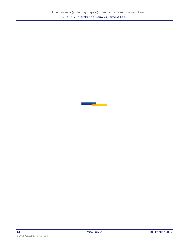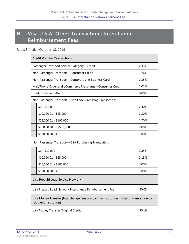### H Visa U.S.A. Other Transactions Interchange Reimbursement Fees

| <b>Credit Voucher Transactions</b>                                                                                |        |  |  |  |
|-------------------------------------------------------------------------------------------------------------------|--------|--|--|--|
| Passenger Transport Service Category-Credit                                                                       | 2.33%  |  |  |  |
| Non-Passenger Transport-Consumer Credit                                                                           | 1.76%  |  |  |  |
| Non-Passenger Transport-Corporate and Business Card                                                               | 2.35%  |  |  |  |
| Mail/Phone Order and eCommerce Merchants-Consumer Credit                                                          | 2.05%  |  |  |  |
| Credit Voucher-Debit                                                                                              | 0.00%  |  |  |  |
| Non-Passenger Transport-Non GSA Purchasing Transactions                                                           |        |  |  |  |
| $$0 - $10,000$                                                                                                    | 2.40%  |  |  |  |
| \$10,000.01 - \$25,000                                                                                            | 2.30%  |  |  |  |
| \$25,000.01 - \$100,000                                                                                           | 2.20%  |  |  |  |
| \$100,000.01 - \$500,000                                                                                          | 2.00%  |  |  |  |
| \$500,000.01 +                                                                                                    | 1.80%  |  |  |  |
| Non-Passenger Transport-GSA Purchasing Transactions                                                               |        |  |  |  |
| $$0 - $10,000$                                                                                                    | 2.35%  |  |  |  |
| $$10,000.01 - $25,000$                                                                                            | 2.15%  |  |  |  |
| \$25,000.01 - \$100,000                                                                                           | 2.00%  |  |  |  |
| $$100,000.01 +$                                                                                                   | 1.80%  |  |  |  |
| <b>Visa Prepaid Load Service Network</b>                                                                          |        |  |  |  |
| Visa Prepaid Load Network Interchange Reimbursement Fee                                                           | \$0.05 |  |  |  |
| Visa Money Transfer (Interchange fees are paid by institution initiating transaction to<br>recipient institution) |        |  |  |  |
| Visa Money Transfer Original Credit<br>\$0.10                                                                     |        |  |  |  |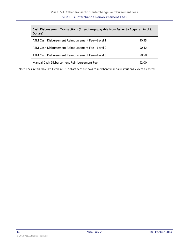| Cash Disbursement Transactions (Interchange payable from Issuer to Acquirer, in U.S.<br>Dollars) |        |  |  |
|--------------------------------------------------------------------------------------------------|--------|--|--|
| ATM Cash Disbursement Reimbursement Fee-Level 1                                                  | \$0.35 |  |  |
| ATM Cash Disbursement Reimbursement Fee-Level 2                                                  | \$0.42 |  |  |
| ATM Cash Disbursement Reimbursement Fee-Level 3                                                  | \$0.50 |  |  |
| Manual Cash Disbursement Reimbursement Fee                                                       | \$2.00 |  |  |

Note: Fees in this table are listed in U.S. dollars; fees are paid to merchant financial institutions, except as noted.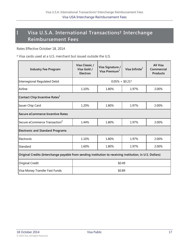### I Visa U.S.A. International Transactions† Interchange Reimbursement Fees

Rates Effective October 18, 2014

† Visa cards used at a U.S. merchant but issued outside the U.S.

| <b>Industry Fee Program</b>                                                                               | Visa Classic /<br>Visa Gold /<br>Electron | Visa Signature /<br>Visa Premium <sup>1</sup> | Visa Infinite <sup>2</sup> | All Visa<br>Commercial<br><b>Products</b> |  |  |
|-----------------------------------------------------------------------------------------------------------|-------------------------------------------|-----------------------------------------------|----------------------------|-------------------------------------------|--|--|
| <b>Interregional Regulated Debit</b>                                                                      | $0.05\% + $0.21*$                         |                                               |                            |                                           |  |  |
| Airline                                                                                                   | 1.10%                                     | 1.80%                                         | 1.97%                      | 2.00%                                     |  |  |
| Contact Chip Incentive Rates <sup>3</sup>                                                                 |                                           |                                               |                            |                                           |  |  |
| <b>Issuer Chip Card</b>                                                                                   | 1.20%                                     | 1.80%                                         | 1.97%                      | 2.00%                                     |  |  |
| Secure eCommerce Incentive Rates                                                                          |                                           |                                               |                            |                                           |  |  |
| Secure eCommerce Transaction <sup>4</sup>                                                                 | 1.44%                                     | 1.80%                                         | 1.97%                      | 2.00%                                     |  |  |
| <b>Electronic and Standard Programs</b>                                                                   |                                           |                                               |                            |                                           |  |  |
| Electronic                                                                                                | 1.10%                                     | 1.80%                                         | 1.97%                      | 2.00%                                     |  |  |
| Standard                                                                                                  | 1.60%                                     | 1.80%                                         | 1.97%                      | 2.00%                                     |  |  |
| Original Credits (Interchange payable from sending institution to receiving institution, in U.S. Dollars) |                                           |                                               |                            |                                           |  |  |
| Original Credit                                                                                           | \$0.49                                    |                                               |                            |                                           |  |  |
| Visa Money Transfer Fast Funds                                                                            | \$0.89                                    |                                               |                            |                                           |  |  |